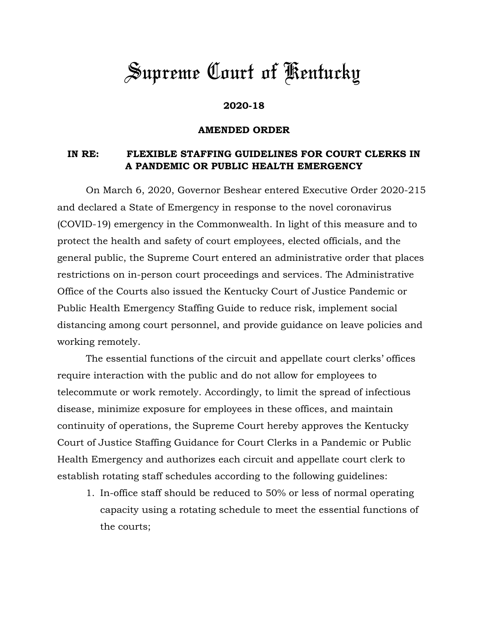## *Supreme Court of Kentucky*

## **2020-18**

## **AMENDED ORDER**

## **IN RE: FLEXIBLE STAFFING GUIDELINES FOR COURT CLERKS IN A PANDEMIC OR PUBLIC HEALTH EMERGENCY**

On March 6, 2020, Governor Beshear entered Executive Order 2020-215 and declared a State of Emergency in response to the novel coronavirus (COVID-19) emergency in the Commonwealth. In light of this measure and to protect the health and safety of court employees, elected officials, and the general public, the Supreme Court entered an administrative order that places restrictions on in-person court proceedings and services. The Administrative Office of the Courts also issued the Kentucky Court of Justice Pandemic or Public Health Emergency Staffing Guide to reduce risk, implement social distancing among court personnel, and provide guidance on leave policies and working remotely.

The essential functions of the circuit and appellate court clerks' offices require interaction with the public and do not allow for employees to telecommute or work remotely. Accordingly, to limit the spread of infectious disease, minimize exposure for employees in these offices, and maintain continuity of operations, the Supreme Court hereby approves the Kentucky Court of Justice Staffing Guidance for Court Clerks in a Pandemic or Public Health Emergency and authorizes each circuit and appellate court clerk to establish rotating staff schedules according to the following guidelines:

1. In-office staff should be reduced to 50% or less of normal operating capacity using a rotating schedule to meet the essential functions of the courts;